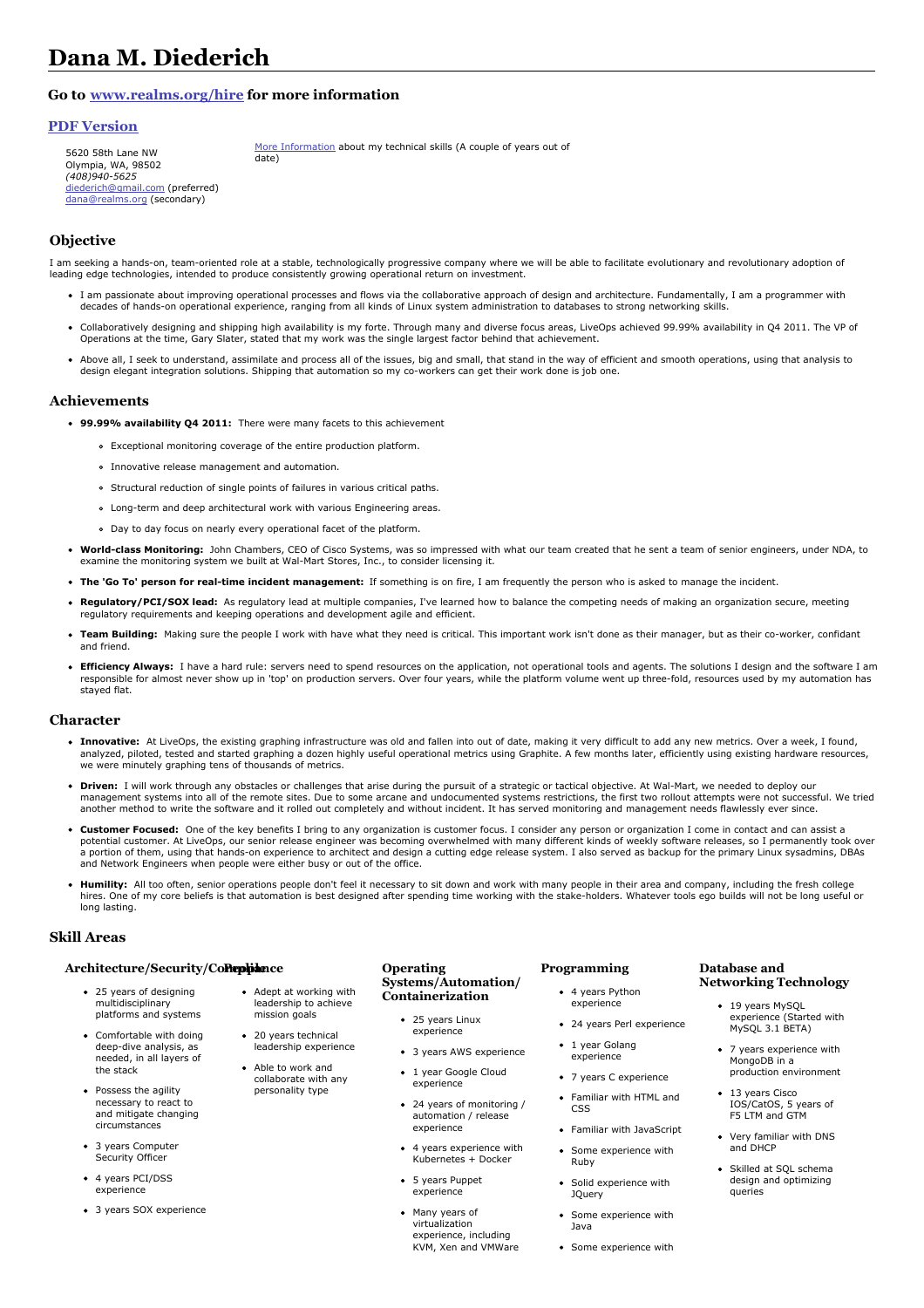# **Dana M. Diederich**

# **Go to [www.realms.org/hire](http://www.realms.org/hire) for more information**

date)

## **PDF [Version](https://www.realms.org/hire/resume.pdf)**

5620 58th Lane NW Olympia, WA, 98502 *(408)940-5625* [diederich@gmail.com](mailto:diederich@gmail.com) (preferred) [dana@realms.org](mailto:dana@realms.org) (secondary)

More [Information](https://www.realms.org/hire/skills-info.html) about my technical skills (A couple of years out of

## **Objective**

I am seeking a hands-on, team-oriented role at a stable, technologically progressive company where we will be able to facilitate evolutionary and revolutionary adoption of leading edge technologies, intended to produce consistently growing operational return on investment.

- I am passionate about improving operational processes and flows via the collaborative approach of design and architecture. Fundamentally, I am a programmer with decades of hands-on operational experience, ranging from all kinds of Linux system administration to databases to strong networking skills.
- Collaboratively designing and shipping high availability is my forte. Through many and diverse focus areas, LiveOps achieved 99.99% availability in Q4 2011. The VP of Operations at the time, Gary Slater, stated that my work was the single largest factor behind that achievement.
- Above all, I seek to understand, assimilate and process all of the issues, big and small, that stand in the way of efficient and smooth operations, using that analysis to design elegant integration solutions. Shipping that automation so my co-workers can get their work done is job one.

### **Achievements**

- **99.99% availability Q4 2011:** There were many facets to this achievement
	- Exceptional monitoring coverage of the entire production platform.
	- Innovative release management and automation.
	- Structural reduction of single points of failures in various critical paths.
	- Long-term and deep architectural work with various Engineering areas.

Adept at working with leadership to achieve mission goals • 20 years technical leadership experience • Able to work and collaborate with any personality type

- Day to day focus on nearly every operational facet of the platform.
- **World-class Monitoring:** John Chambers, CEO of Cisco Systems, was so impressed with what our team created that he sent a team of senior engineers, under NDA, to examine the monitoring system we built at Wal-Mart Stores, Inc., to consider licensing it.
- **The 'Go To' person for real-time incident management:** If something is on fire, I am frequently the person who is asked to manage the incident.
- **Regulatory/PCI/SOX lead:** As regulatory lead at multiple companies, I've learned how to balance the competing needs of making an organization secure, meeting regulatory requirements and keeping operations and development agile and efficient.
- **Team Building:** Making sure the people I work with have what they need is critical. This important work isn't done as their manager, but as their co-worker, confidant and friend.
- **Efficiency Always:** I have a hard rule: servers need to spend resources on the application, not operational tools and agents. The solutions I design and the software I am responsible for almost never show up in 'top' on production servers. Over four years, while the platform volume went up three-fold, resources used by my automation has stayed flat.

#### **Character**

- **Innovative:** At LiveOps, the existing graphing infrastructure was old and fallen into out of date, making it very difficult to add any new metrics. Over a week, I found, analyzed, piloted, tested and started graphing a dozen highly useful operational metrics using Graphite. A few months later, efficiently using existing hardware resources, we were minutely graphing tens of thousands of metrics.
- **Driven:** I will work through any obstacles or challenges that arise during the pursuit of a strategic or tactical objective. At Wal-Mart, we needed to deploy our<br>management systems into all of the remote sites. Due to som another method to write the software and it rolled out completely and without incident. It has served monitoring and management needs flawlessly ever since.
- **Customer Focused:** One of the key benefits I bring to any organization is customer focus. I consider any person or organization I come in contact and can assist a potential customer. At LiveOps, our senior release engineer was becoming overwhelmed with many different kinds of weekly software releases, so I permanently took over a portion of them, using that hands-on experience to architect and design a cutting edge release system. I also served as backup for the primary Linux sysadmins, DBAs and Network Engineers when people were either busy or out of the office.
- **Humility:** All too often, senior operations people don't feel it necessary to sit down and work with many people in their area and company, including the fresh college hires. One of my core beliefs is that automation is best designed after spending time working with the stake-holders. Whatever tools ego builds will not be long useful or long lasting.

### **Skill Areas**

#### **Architecture/Security/Compliance People**

- 25 years of designing multidisciplinary platforms and systems
- Comfortable with doing deep-dive analysis, as needed, in all layers of the stack
- Possess the agility necessary to react to and mitigate changing circumstances
- 3 years Computer Security Officer
- 4 years PCI/DSS experience
- 3 years SOX experience

#### **Operating Systems/Automation/ Containerization**

- 25 years Linux experience
	- 3 years AWS experience
- 1 year Google Cloud experience
- 24 years of monitoring / automation / release experience
- 4 years experience with Kubernetes + Docker
- 5 years Puppet experience
- Many years of virtualization experience, including KVM, Xen and VMWare

# **Programming**

- 4 years Python experience
- 24 years Perl experience
- 1 year Golang experience
- 7 years C experience
- Familiar with HTML and CSS
- Familiar with JavaScript
- Some experience with Ruby
- Solid experience with JQuery
- Some experience with Java
- Some experience with

### **Database and Networking Technology**

- 19 years MvSOL experience (Started with MySQL 3.1 BETA)
- 7 years experience with MongoDB in a production environment
- **13 years Cisco** IOS/CatOS, 5 years of F5 LTM and GTM
- Very familiar with DNS and DHCP
- Skilled at SQL schema design and optimizing queries